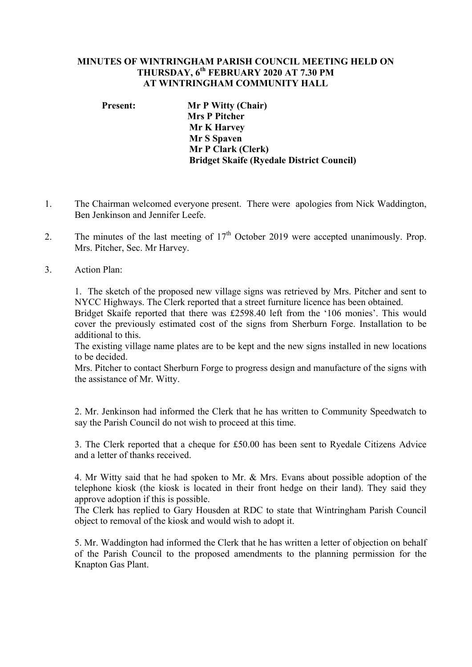## **MINUTES OF WINTRINGHAM PARISH COUNCIL MEETING HELD ON THURSDAY, 6th FEBRUARY 2020 AT 7.30 PM AT WINTRINGHAM COMMUNITY HALL**

**Present: Mr P Witty (Chair) Mrs P Pitcher Mr K Harvey Mr S Spaven Mr P Clark (Clerk) Bridget Skaife (Ryedale District Council)**

- 1. The Chairman welcomed everyone present. There were apologies from Nick Waddington, Ben Jenkinson and Jennifer Leefe.
- 2. The minutes of the last meeting of  $17<sup>th</sup>$  October 2019 were accepted unanimously. Prop. Mrs. Pitcher, Sec. Mr Harvey.
- 3. Action Plan:

1. The sketch of the proposed new village signs was retrieved by Mrs. Pitcher and sent to NYCC Highways. The Clerk reported that a street furniture licence has been obtained.

Bridget Skaife reported that there was £2598.40 left from the '106 monies'. This would cover the previously estimated cost of the signs from Sherburn Forge. Installation to be additional to this.

The existing village name plates are to be kept and the new signs installed in new locations to be decided.

Mrs. Pitcher to contact Sherburn Forge to progress design and manufacture of the signs with the assistance of Mr. Witty.

2. Mr. Jenkinson had informed the Clerk that he has written to Community Speedwatch to say the Parish Council do not wish to proceed at this time.

3. The Clerk reported that a cheque for £50.00 has been sent to Ryedale Citizens Advice and a letter of thanks received.

4. Mr Witty said that he had spoken to Mr. & Mrs. Evans about possible adoption of the telephone kiosk (the kiosk is located in their front hedge on their land). They said they approve adoption if this is possible.

The Clerk has replied to Gary Housden at RDC to state that Wintringham Parish Council object to removal of the kiosk and would wish to adopt it.

5. Mr. Waddington had informed the Clerk that he has written a letter of objection on behalf of the Parish Council to the proposed amendments to the planning permission for the Knapton Gas Plant.